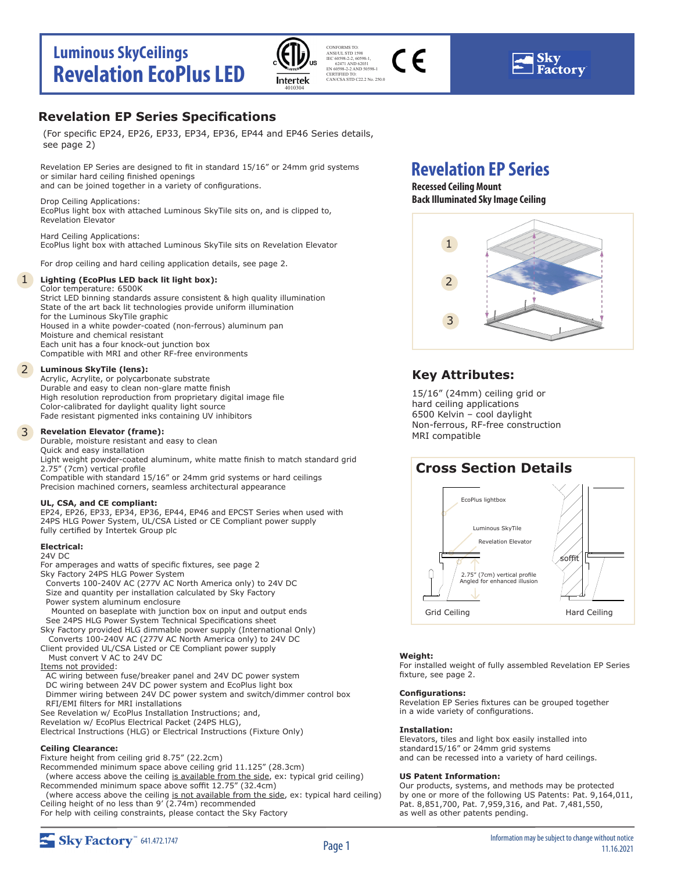



### **Revelation EP Series Specifications**

(For specific EP24, EP26, EP33, EP34, EP36, EP44 and EP46 Series details, see page 2)

Revelation EP Series are designed to fit in standard 15/16" or 24mm grid systems or similar hard ceiling finished openings and can be joined together in a variety of configurations.

Drop Ceiling Applications: EcoPlus light box with attached Luminous SkyTile sits on, and is clipped to, Revelation Elevator

Hard Ceiling Applications: EcoPlus light box with attached Luminous SkyTile sits on Revelation Elevator

For drop ceiling and hard ceiling application details, see page 2.

### 1 **Lighting (EcoPlus LED back lit light box):**

### Color temperature: 6500K

Strict LED binning standards assure consistent & high quality illumination State of the art back lit technologies provide uniform illumination for the Luminous SkyTile graphic Housed in a white powder-coated (non-ferrous) aluminum pan Moisture and chemical resistant Each unit has a four knock-out junction box Compatible with MRI and other RF-free environments

### 2 **Luminous SkyTile (lens):**

Acrylic, Acrylite, or polycarbonate substrate Durable and easy to clean non-glare matte finish High resolution reproduction from proprietary digital image file Color-calibrated for daylight quality light source Fade resistant pigmented inks containing UV inhibitors

#### 3 **Revelation Elevator (frame):**

Durable, moisture resistant and easy to clean Quick and easy installation Light weight powder-coated aluminum, white matte finish to match standard grid 2.75" (7cm) vertical profile Compatible with standard 15/16" or 24mm grid systems or hard ceilings Precision machined corners, seamless architectural appearance

### **UL, CSA, and CE compliant:**

EP24, EP26, EP33, EP34, EP36, EP44, EP46 and EPCST Series when used with 24PS HLG Power System, UL/CSA Listed or CE Compliant power supply fully certified by Intertek Group plc

### **Electrical:**

- 24V DC
- For amperages and watts of specific fixtures, see page 2 Sky Factory 24PS HLG Power System Converts 100-240V AC (277V AC North America only) to 24V DC Size and quantity per installation calculated by Sky Factory Power system aluminum enclosure Mounted on baseplate with junction box on input and output ends See 24PS HLG Power System Technical Specifications sheet
- Sky Factory provided HLG dimmable power supply (International Only) Converts 100-240V AC (277V AC North America only) to 24V DC
- Client provided UL/CSA Listed or CE Compliant power supply
- Must convert V AC to 24V DC

### Items not provided:

- AC wiring between fuse/breaker panel and 24V DC power system DC wiring between 24V DC power system and EcoPlus light box Dimmer wiring between 24V DC power system and switch/dimmer control box RFI/EMI filters for MRI installations
- See Revelation w/ EcoPlus Installation Instructions; and,
- Revelation w/ EcoPlus Electrical Packet (24PS HLG),

Electrical Instructions (HLG) or Electrical Instructions (Fixture Only)

### **Ceiling Clearance:**

Fixture height from ceiling grid 8.75" (22.2cm)

Recommended minimum space above ceiling grid 11.125" (28.3cm) (where access above the ceiling is available from the side, ex: typical grid ceiling) Recommended minimum space above soffit 12.75" (32.4cm)

(where access above the ceiling is not available from the side, ex: typical hard ceiling) Ceiling height of no less than 9' (2.74m) recommended

For help with ceiling constraints, please contact the Sky Factory

## **Revelation EP Series**

### **Recessed Ceiling Mount Back Illuminated Sky Image Ceiling**



### **Key Attributes:**

15/16" (24mm) ceiling grid or hard ceiling applications 6500 Kelvin – cool daylight Non-ferrous, RF-free construction MRI compatible

## **Cross Section Details**



### **Weight:**

For installed weight of fully assembled Revelation EP Series fixture, see page 2.

### **Configurations:**

Revelation EP Series fixtures can be grouped together in a wide variety of configurations.

### **Installation:**

Elevators, tiles and light box easily installed into standard15/16" or 24mm grid systems and can be recessed into a variety of hard ceilings.

### **US Patent Information:**

Our products, systems, and methods may be protected by one or more of the following US Patents: Pat. 9,164,011, Pat. 8,851,700, Pat. 7,959,316, and Pat. 7,481,550, as well as other patents pending.